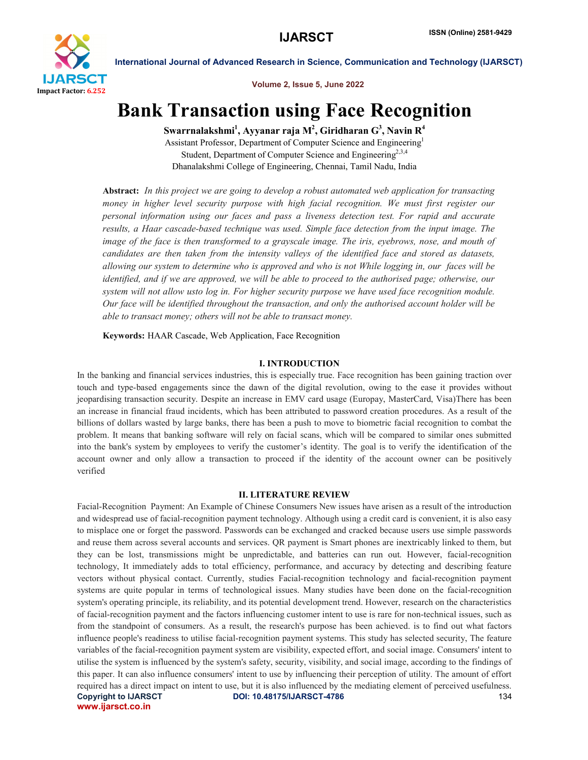

Volume 2, Issue 5, June 2022

# Bank Transaction using Face Recognition

Swarrnalakshmi $^{\rm l}$ , Ayyanar raja M $^{\rm 2}$ , Giridharan  ${\rm G}^{\rm 3}$ , Navin R $^{\rm 4}$ 

Assistant Professor, Department of Computer Science and Engineering1 Student, Department of Computer Science and Engineering<sup>2,3,4</sup> Dhanalakshmi College of Engineering, Chennai, Tamil Nadu, India

Abstract: *In this project we are going to develop a robust automated web application for transacting money in higher level security purpose with high facial recognition. We must first register our personal information using our faces and pass a liveness detection test. For rapid and accurate results, a Haar cascade-based technique was used. Simple face detection from the input image. The image of the face is then transformed to a grayscale image. The iris, eyebrows, nose, and mouth of candidates are then taken from the intensity valleys of the identified face and stored as datasets, allowing our system to determine who is approved and who is not While logging in, our faces will be identified, and if we are approved, we will be able to proceed to the authorised page; otherwise, our system will not allow usto log in. For higher security purpose we have used face recognition module. Our face will be identified throughout the transaction, and only the authorised account holder will be able to transact money; others will not be able to transact money.*

Keywords: HAAR Cascade, Web Application, Face Recognition

### I. INTRODUCTION

In the banking and financial services industries, this is especially true. Face recognition has been gaining traction over touch and type-based engagements since the dawn of the digital revolution, owing to the ease it provides without jeopardising transaction security. Despite an increase in EMV card usage (Europay, MasterCard, Visa)There has been an increase in financial fraud incidents, which has been attributed to password creation procedures. As a result of the billions of dollars wasted by large banks, there has been a push to move to biometric facial recognition to combat the problem. It means that banking software will rely on facial scans, which will be compared to similar ones submitted into the bank's system by employees to verify the customer's identity. The goal is to verify the identification of the account owner and only allow a transaction to proceed if the identity of the account owner can be positively verified

### II. LITERATURE REVIEW

Copyright to IJARSCT DOI: 10.48175/IJARSCT-4786 **134** www.ijarsct.co.in Facial-Recognition Payment: An Example of Chinese Consumers New issues have arisen as a result of the introduction and widespread use of facial-recognition payment technology. Although using a credit card is convenient, it is also easy to misplace one or forget the password. Passwords can be exchanged and cracked because users use simple passwords and reuse them across several accounts and services. QR payment is Smart phones are inextricably linked to them, but they can be lost, transmissions might be unpredictable, and batteries can run out. However, facial-recognition technology, It immediately adds to total efficiency, performance, and accuracy by detecting and describing feature vectors without physical contact. Currently, studies Facial-recognition technology and facial-recognition payment systems are quite popular in terms of technological issues. Many studies have been done on the facial-recognition system's operating principle, its reliability, and its potential development trend. However, research on the characteristics of facial-recognition payment and the factors influencing customer intent to use is rare for non-technical issues, such as from the standpoint of consumers. As a result, the research's purpose has been achieved. is to find out what factors influence people's readiness to utilise facial-recognition payment systems. This study has selected security, The feature variables of the facial-recognition payment system are visibility, expected effort, and social image. Consumers' intent to utilise the system is influenced by the system's safety, security, visibility, and social image, according to the findings of this paper. It can also influence consumers' intent to use by influencing their perception of utility. The amount of effort required has a direct impact on intent to use, but it is also influenced by the mediating element of perceived usefulness.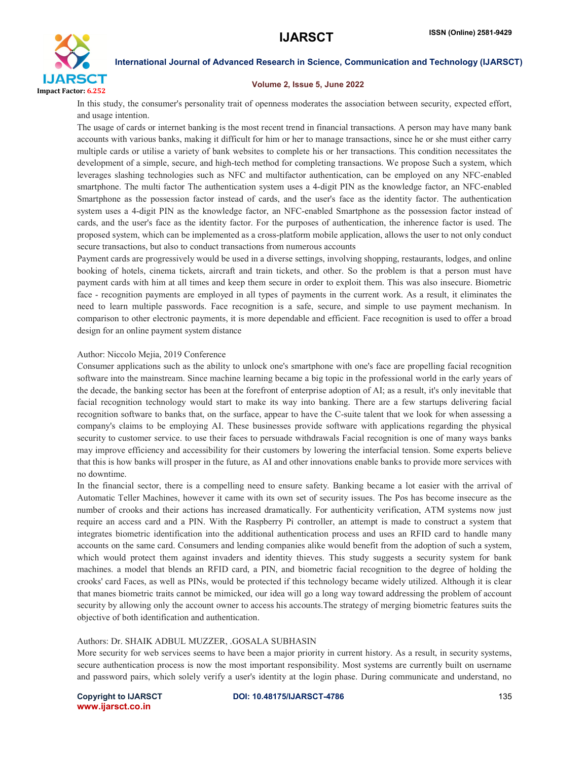

### Volume 2, Issue 5, June 2022

In this study, the consumer's personality trait of openness moderates the association between security, expected effort, and usage intention.

The usage of cards or internet banking is the most recent trend in financial transactions. A person may have many bank accounts with various banks, making it difficult for him or her to manage transactions, since he or she must either carry multiple cards or utilise a variety of bank websites to complete his or her transactions. This condition necessitates the development of a simple, secure, and high-tech method for completing transactions. We propose Such a system, which leverages slashing technologies such as NFC and multifactor authentication, can be employed on any NFC-enabled smartphone. The multi factor The authentication system uses a 4-digit PIN as the knowledge factor, an NFC-enabled Smartphone as the possession factor instead of cards, and the user's face as the identity factor. The authentication system uses a 4-digit PIN as the knowledge factor, an NFC-enabled Smartphone as the possession factor instead of cards, and the user's face as the identity factor. For the purposes of authentication, the inherence factor is used. The proposed system, which can be implemented as a cross-platform mobile application, allows the user to not only conduct secure transactions, but also to conduct transactions from numerous accounts

Payment cards are progressively would be used in a diverse settings, involving shopping, restaurants, lodges, and online booking of hotels, cinema tickets, aircraft and train tickets, and other. So the problem is that a person must have payment cards with him at all times and keep them secure in order to exploit them. This was also insecure. Biometric face - recognition payments are employed in all types of payments in the current work. As a result, it eliminates the need to learn multiple passwords. Face recognition is a safe, secure, and simple to use payment mechanism. In comparison to other electronic payments, it is more dependable and efficient. Face recognition is used to offer a broad design for an online payment system distance

### Author: Niccolo Mejia, 2019 Conference

Consumer applications such as the ability to unlock one's smartphone with one's face are propelling facial recognition software into the mainstream. Since machine learning became a big topic in the professional world in the early years of the decade, the banking sector has been at the forefront of enterprise adoption of AI; as a result, it's only inevitable that facial recognition technology would start to make its way into banking. There are a few startups delivering facial recognition software to banks that, on the surface, appear to have the C-suite talent that we look for when assessing a company's claims to be employing AI. These businesses provide software with applications regarding the physical security to customer service. to use their faces to persuade withdrawals Facial recognition is one of many ways banks may improve efficiency and accessibility for their customers by lowering the interfacial tension. Some experts believe that this is how banks will prosper in the future, as AI and other innovations enable banks to provide more services with no downtime.

In the financial sector, there is a compelling need to ensure safety. Banking became a lot easier with the arrival of Automatic Teller Machines, however it came with its own set of security issues. The Pos has become insecure as the number of crooks and their actions has increased dramatically. For authenticity verification, ATM systems now just require an access card and a PIN. With the Raspberry Pi controller, an attempt is made to construct a system that integrates biometric identification into the additional authentication process and uses an RFID card to handle many accounts on the same card. Consumers and lending companies alike would benefit from the adoption of such a system, which would protect them against invaders and identity thieves. This study suggests a security system for bank machines. a model that blends an RFID card, a PIN, and biometric facial recognition to the degree of holding the crooks' card Faces, as well as PINs, would be protected if this technology became widely utilized. Although it is clear that manes biometric traits cannot be mimicked, our idea will go a long way toward addressing the problem of account security by allowing only the account owner to access his accounts.The strategy of merging biometric features suits the objective of both identification and authentication.

### Authors: Dr. SHAIK ADBUL MUZZER, .GOSALA SUBHASIN

More security for web services seems to have been a major priority in current history. As a result, in security systems, secure authentication process is now the most important responsibility. Most systems are currently built on username and password pairs, which solely verify a user's identity at the login phase. During communicate and understand, no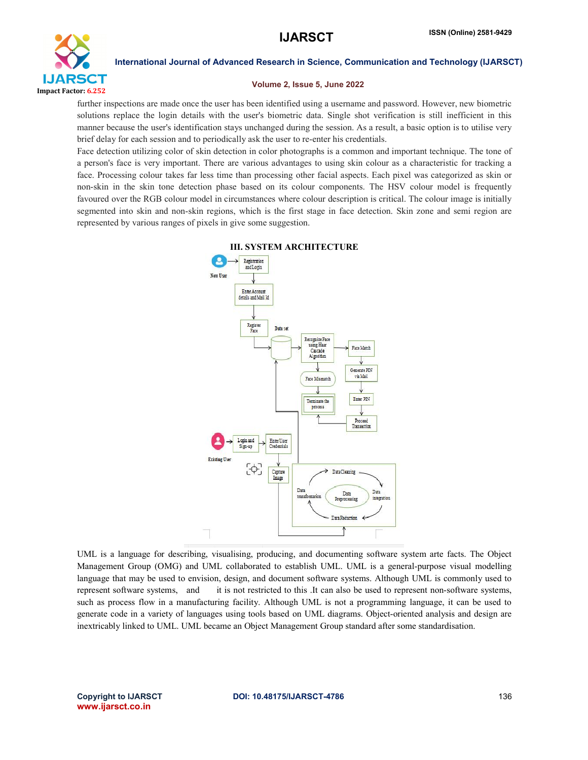

### Volume 2, Issue 5, June 2022

further inspections are made once the user has been identified using a username and password. However, new biometric solutions replace the login details with the user's biometric data. Single shot verification is still inefficient in this manner because the user's identification stays unchanged during the session. As a result, a basic option is to utilise very brief delay for each session and to periodically ask the user to re-enter his credentials.

Face detection utilizing color of skin detection in color photographs is a common and important technique. The tone of a person's face is very important. There are various advantages to using skin colour as a characteristic for tracking a face. Processing colour takes far less time than processing other facial aspects. Each pixel was categorized as skin or non-skin in the skin tone detection phase based on its colour components. The HSV colour model is frequently favoured over the RGB colour model in circumstances where colour description is critical. The colour image is initially segmented into skin and non-skin regions, which is the first stage in face detection. Skin zone and semi region are represented by various ranges of pixels in give some suggestion.



### III. SYSTEM ARCHITECTURE

UML is a language for describing, visualising, producing, and documenting software system arte facts. The Object Management Group (OMG) and UML collaborated to establish UML. UML is a general-purpose visual modelling language that may be used to envision, design, and document software systems. Although UML is commonly used to represent software systems, and it is not restricted to this .It can also be used to represent non-software systems, such as process flow in a manufacturing facility. Although UML is not a programming language, it can be used to generate code in a variety of languages using tools based on UML diagrams. Object-oriented analysis and design are inextricably linked to UML. UML became an Object Management Group standard after some standardisation.

www.ijarsct.co.in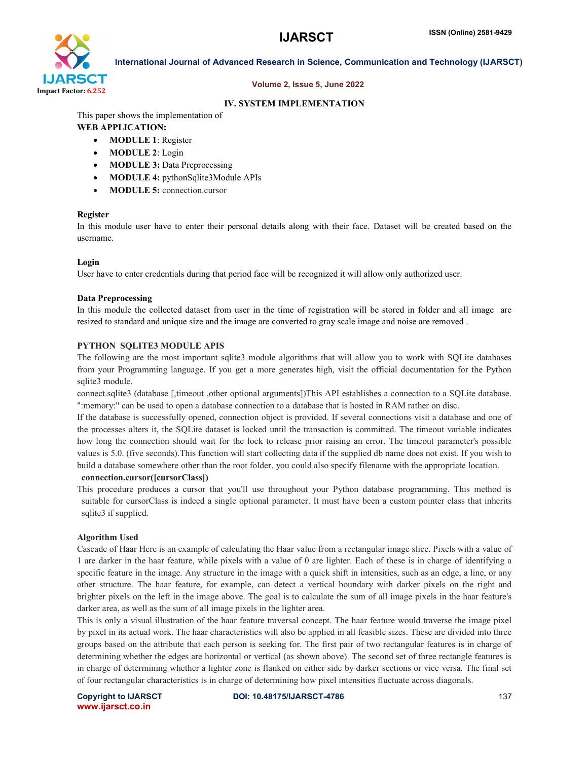

### Volume 2, Issue 5, June 2022

### IV. SYSTEM IMPLEMENTATION

This paper shows the implementation of

### WEB APPLICATION:

- MODULE 1: Register
- MODULE 2: Login
- MODULE 3: Data Preprocessing
- MODULE 4: pythonSqlite3Module APIs
- MODULE 5: connection.cursor

### Register

In this module user have to enter their personal details along with their face. Dataset will be created based on the username.

### Login

User have to enter credentials during that period face will be recognized it will allow only authorized user.

### Data Preprocessing

In this module the collected dataset from user in the time of registration will be stored in folder and all image are resized to standard and unique size and the image are converted to gray scale image and noise are removed .

### PYTHON SQLITE3 MODULE APIS

The following are the most important sqlite3 module algorithms that will allow you to work with SQLite databases from your Programming language. If you get a more generates high, visit the official documentation for the Python sqlite3 module.

connect.sqlite3 (database [,timeout ,other optional arguments])This API establishes a connection to a SQLite database. ":memory:" can be used to open a database connection to a database that is hosted in RAM rather on disc.

If the database is successfully opened, connection object is provided. If several connections visit a database and one of the processes alters it, the SQLite dataset is locked until the transaction is committed. The timeout variable indicates how long the connection should wait for the lock to release prior raising an error. The timeout parameter's possible values is 5.0. (five seconds).This function will start collecting data if the supplied db name does not exist. If you wish to build a database somewhere other than the root folder, you could also specify filename with the appropriate location.

### connection.cursor([cursorClass])

This procedure produces a cursor that you'll use throughout your Python database programming. This method is suitable for cursorClass is indeed a single optional parameter. It must have been a custom pointer class that inherits sqlite3 if supplied.

### Algorithm Used

Cascade of Haar Here is an example of calculating the Haar value from a rectangular image slice. Pixels with a value of 1 are darker in the haar feature, while pixels with a value of 0 are lighter. Each of these is in charge of identifying a specific feature in the image. Any structure in the image with a quick shift in intensities, such as an edge, a line, or any other structure. The haar feature, for example, can detect a vertical boundary with darker pixels on the right and brighter pixels on the left in the image above. The goal is to calculate the sum of all image pixels in the haar feature's darker area, as well as the sum of all image pixels in the lighter area.

This is only a visual illustration of the haar feature traversal concept. The haar feature would traverse the image pixel by pixel in its actual work. The haar characteristics will also be applied in all feasible sizes. These are divided into three groups based on the attribute that each person is seeking for. The first pair of two rectangular features is in charge of determining whether the edges are horizontal or vertical (as shown above). The second set of three rectangle features is in charge of determining whether a lighter zone is flanked on either side by darker sections or vice versa. The final set of four rectangular characteristics is in charge of determining how pixel intensities fluctuate across diagonals.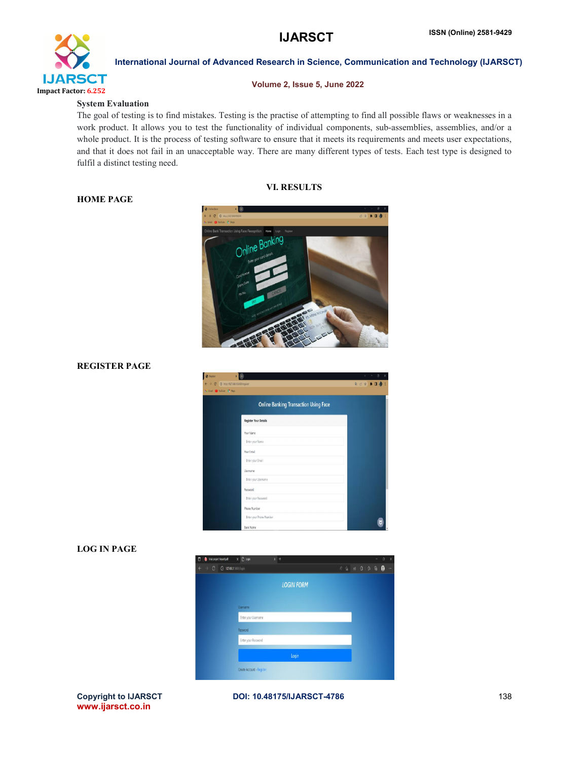## **IJARSCT**



### International Journal of Advanced Research in Science, Communication and Technology (IJARSCT)

### Volume 2, Issue 5, June 2022

### System Evaluation

HOME PAGE

The goal of testing is to find mistakes. Testing is the practise of attempting to find all possible flaws or weaknesses in a The goal of testing is to find mistakes. Testing is the practise of attempting to find all possible flaws or weaknesses in a work product. It allows you to test the functionality of individual components, sub-assemblies, a whole product. It is the process of testing software to ensure that it meets its requirements and meets user expectations, whole product. It is the process of testing software to ensure that it meets its requirements and meets user expectations, and that it does not fail in an unacceptable way. There are many different types of tests. Each tes fulfil a distinct testing need.

### VI. RESULTS



## REGISTER PAGE

| $\rightarrow$ 0<br>Grail C Value of Aps. | @ http://12.0015000/register                 | 电记录 身目者 ! |
|------------------------------------------|----------------------------------------------|-----------|
|                                          | <b>Online Banking Transaction Using Face</b> |           |
|                                          | <b>Register Your Details</b>                 |           |
|                                          | Your Name                                    |           |
|                                          | Enter your Name                              |           |
|                                          | Your Email                                   |           |
|                                          | Enter your Email                             |           |
|                                          | Usemame<br>Enter your Usemame                |           |
|                                          | Password                                     |           |
|                                          | Enter your Password                          |           |
|                                          | Phone Number                                 |           |
|                                          | Enter your Phone Number                      |           |
|                                          | <b>Bank Name</b>                             |           |

## LOG IN PAGE



### Copyright to IJARSCT www.ijarsct.co.in

### DOI: 10.48175/IJARSCT-4786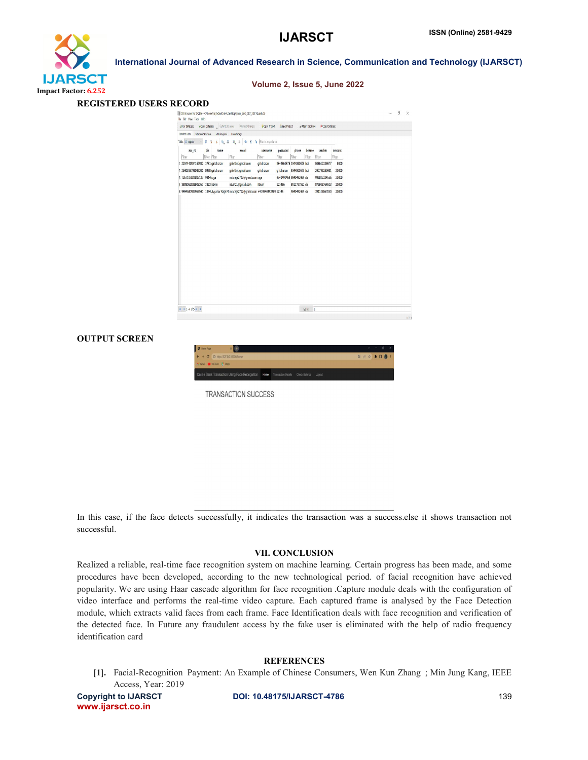## **IJARSCT**



### International Journal of Advanced Research in Science, Communication and Technology (IJARSCT)

| <b>REGISTERED USERS RECORD</b> |                                                                 |                                                                                                 |                               |                                                      |                  |        |   |   |
|--------------------------------|-----------------------------------------------------------------|-------------------------------------------------------------------------------------------------|-------------------------------|------------------------------------------------------|------------------|--------|---|---|
|                                | File Fift Your Took Help                                        | [3] D3 Browser for SQLite - C(Users) raja(OneDrive),Desitop);Bank Web CRT 2021\bank.db          |                               |                                                      |                  | $\sim$ | 9 | X |
|                                |                                                                 | BNew Detabase @Open Detabase   BINTER Changes   Richard Changes   DOpen Project   BSave Project |                               | W Close Database M Close Database                    |                  |        |   |   |
|                                | Browse Data Database Shuchure Filli Pragmes Townle SQL          |                                                                                                 |                               |                                                      |                  |        |   |   |
|                                | → B 3 4 5 8 8 5 3 4 € 4 Richaryclam<br>Table <b>El register</b> |                                                                                                 |                               |                                                      |                  |        |   |   |
| Filter                         | acc no<br>pin<br>name<br>Filter Filter                          | email<br>Fiter<br>Fiter                                                                         | usemame<br>password<br>Filter | aadhar<br>bname<br>phone<br>Fiter<br>Filter<br>Fiter | amount<br>Filter |        |   |   |
|                                | 1 2234441924162982 3731 giricharan                              | ghkithi@gmail.com<br>giricharan                                                                 |                               | 9344860575 9344860575 bol<br>506612336577            | 8000             |        |   |   |
|                                | 2 2540369798082306 8480 giricharan                              | giikithi@gmail.com<br>giricharan                                                                |                               | giridharan 9344860575 boi<br>242798356981            | 20000            |        |   |   |
|                                | 3 7367107025805133 9914 raja                                    | rockraja2712@gmail.com raja                                                                     |                               | 9640492469 9840492469 sbi<br>996812334566            | 20000            |        |   |   |
|                                | 4 8885052029908367 3823 Navin                                   | navin21@gmail.com<br>Navin                                                                      | 123456                        | 8912737562 sbi<br>876938764523                       | 20000            |        |   |   |
|                                |                                                                 | 5 9494680983967540 1394 Ayyanar Raja M rockraja2712@gmail.com +919840492469 12345               |                               | 391128867050<br>9840492469 sbi                       | 20000            |        |   |   |
|                                |                                                                 |                                                                                                 |                               |                                                      |                  |        |   |   |
|                                |                                                                 |                                                                                                 |                               |                                                      |                  |        |   |   |
|                                |                                                                 |                                                                                                 |                               |                                                      |                  |        |   |   |
|                                | $ k  \le 1 - 4$ cf 5 P $ k $                                    |                                                                                                 |                               | $60101 - 1$                                          |                  |        |   |   |

### OUTPUT SCREEN



TRANSACTION SUCCESS

In this case, if the face detects successfully, it indicates the transaction was a success.else it shows transaction not successful. it indicates the transaction was a success.else<br>VII. CONCLUSION<br>system on machine learning. Certain progress h

### VII. CONCLUSION

Realized a reliable, real-time face recognition system on machine learning. Certain progress has been made, and some<br>procedures have been developed, according to the new technological period. of facial recognition have ach procedures have been developed, according to the new technological period. of facial recognition have achieved popularity. We are using Haar cascade algorithm for face recognition Capture module deals with the configuration of video interface and performs the real-time video capture. Each captured frame is analysed by the Face Detection module, which extracts valid faces from each frame. Face Identification deals with face recognition and verification of the detected face. In Future any fraudulent access by the fake user is eliminated with the help of radio frequency identification card cade algorithm for face recognition .Capture module deals with the configuration of<br>real-time video capture. Each captured frame is analysed by the Face Detection<br>is from each frame. Face Identification deals with face rec

### **REFERENCES**

[1]. Facial-Recognition Payment: An Example of Chinese Consumers, Wen Kun Zhang ; Min Jung Kang, IEEE Access, Year: 2019

Copyright to IJARSCT www.ijarsct.co.in

DOI: 10.48175/IJARSCT-4786

### Volume 2, Issue 5, June 2022